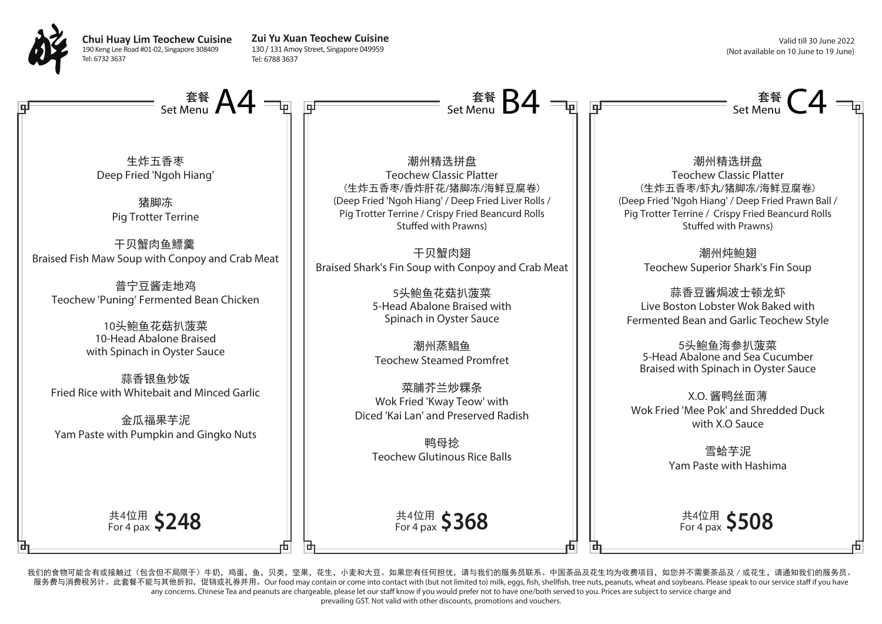

**Chui Huay Lim Teochew Cuisine** 190 Keng Lee Road #01-02, Singapore 308409 Tel: 6732 3637

**Zui Yu Xuan Teochew Cuisine** 130 / 131 Amoy Street, Singapore 049959 Tel: 6788 3637

Valid till 30 June 2022 (Not available on 10 June to 19 June)



我们的食物可能含有或接触过(包含但不局限于)牛奶,鸡蛋,鱼,贝类,坚果,花生,小麦和大豆。如果您有任何担忧,请与我们的服务员联系。中国茶品及花生均为收费项目,如您并不需要茶品及/或花生,请通知我们的服务员。 服务费与消费税另计。此套餐不能与其他折扣,促销或礼券并用。Our food may contain or come into contact with (but not limited to) milk, eggs, fish, shellfish, tree nuts, peanuts, wheat and soybeans. Please speak to our service staff if you have any concerns. Chinese Tea and peanuts are chargeable, please let our staff know if you would prefer not to have one/both served to you. Prices are subject to service charge and

prevailing GST. Not valid with other discounts, promotions and vouchers.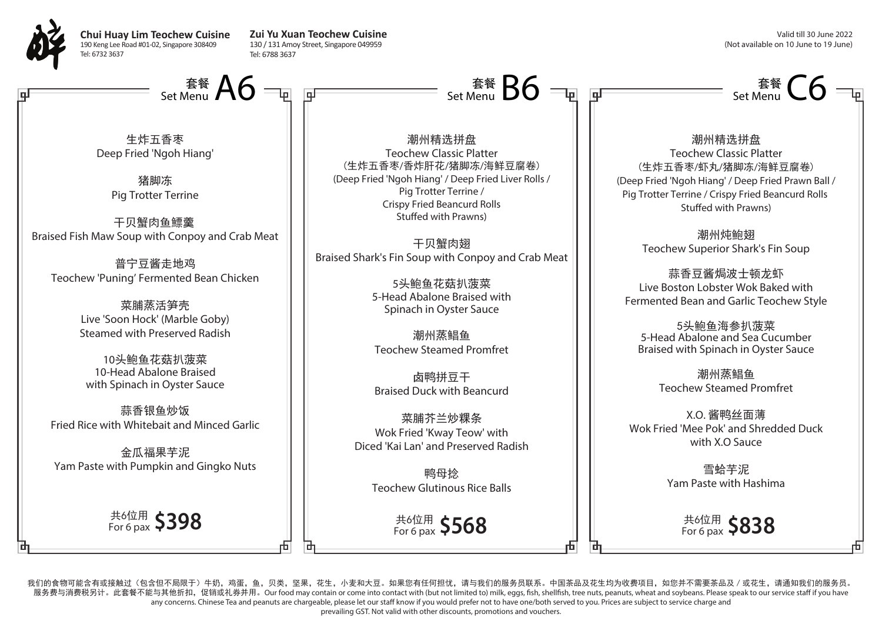

Tel: 6732 3637

**Chui Huay Lim Teochew Cuisine** 190 Keng Lee Road #01-02, Singapore 308409 **Zui Yu Xuan Teochew Cuisine** 130 / 131 Amoy Street, Singapore 049959 Tel: 6788 3637

Valid till 30 June 2022 (Not available on 10 June to 19 June)

Set Menu  $\mathsf{C6}$ 

Set Menu  $\overline{A6} =$   $\overline{B}$   $\overline{B}$  and  $\overline{B}$  and  $\overline{B}$  and  $\overline{B}$  set Menu

生炸五香枣 Deep Fried 'Ngoh Hiang'

> 猪脚冻 Pig Trotter Terrine

干贝蟹肉鱼鰾羹 Braised Fish Maw Soup with Conpoy and Crab Meat

普宁豆酱走地鸡 Teochew 'Puning' Fermented Bean Chicken

> 菜脯蒸活笋壳 Live 'Soon Hock' (Marble Goby) Steamed with Preserved Radish

10头鲍鱼花菇扒菠菜 10-Head Abalone Braised with Spinach in Oyster Sauce

蒜香银鱼炒饭 Fried Rice with Whitebait and Minced Garlic

金瓜福果芋泥 Yam Paste with Pumpkin and Gingko Nuts

共6位用 For 6 pax **\$398**

潮州精选拼盘 Teochew Classic Platter (生炸五香枣/香炸肝花/猪脚冻/海鲜豆腐卷) (Deep Fried 'Ngoh Hiang' / Deep Fried Liver Rolls / Pig Trotter Terrine / Crispy Fried Beancurd Rolls Stuffed with Prawns)

Set Menu  $\overline{\mathsf{B6}}$ 

干贝蟹肉翅 Braised Shark's Fin Soup with Conpoy and Crab Meat

> 5头鲍鱼花菇扒菠菜 5-Head Abalone Braised with Spinach in Oyster Sauce

潮州蒸鲳鱼 Teochew Steamed Promfret

卤鸭拼豆干 Braised Duck with Beancurd

菜脯芥兰炒粿条 Wok Fried 'Kway Teow' with Diced 'Kai Lan' and Preserved Radish

> 鸭母捻 Teochew Glutinous Rice Balls

> > 共6位用 For 6 pax **\$568**

潮州精选拼盘 Teochew Classic Platter (生炸五香枣/虾丸/猪脚冻/海鲜豆腐卷) (Deep Fried 'Ngoh Hiang' / Deep Fried Prawn Ball / Pig Trotter Terrine / Crispy Fried Beancurd Rolls Stuffed with Prawns)

> 潮州炖鲍翅 Teochew Superior Shark's Fin Soup

蒜香豆酱焗波十顿龙虾 Live Boston Lobster Wok Baked with Fermented Bean and Garlic Teochew Style

5头鲍鱼海参扒菠菜 5-Head Abalone and Sea Cucumber Braised with Spinach in Oyster Sauce

> 潮州蒸鲳鱼 Teochew Steamed Promfret

X.O. 酱鸭丝面薄 Wok Fried 'Mee Pok' and Shredded Duck with X.O Sauce

> 雪蛤芋泥 Yam Paste with Hashima

> > 共6位用 For 6 pax **\$838**

我们的食物可能含有或接触过(包含但不局限于)牛奶,鸡蛋,鱼,贝类,坚果,花生,小麦和大豆。如果您有任何担忧,请与我们的服务员联系。中国茶品及花生均为收费项目,如您并不需要茶品及/或花生,请通知我们的服务员。 服务费与消费税另计。此套餐不能与其他折扣,促销或礼券并用。Our food may contain or come into contact with (but not limited to) milk, eggs, fish, shellfish, tree nuts, peanuts, wheat and soybeans. Please speak to our service staff if you have any concerns. Chinese Tea and peanuts are chargeable, please let our staff know if you would prefer not to have one/both served to you. Prices are subject to service charge and prevailing GST. Not valid with other discounts, promotions and vouchers.